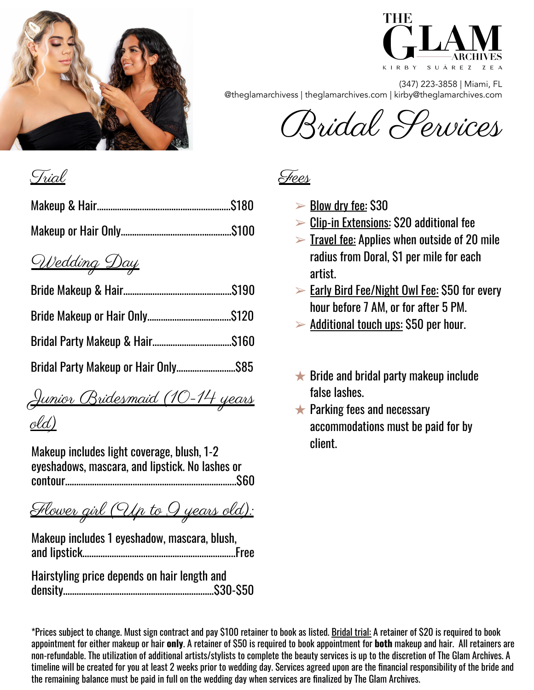



(347) 223-3858 | Miami, FL @theglamarchivess | theglamarchives.com | kirby@theglamarchives.com

Bridal Services

# Trial

# Wedding Day

Junior Bridesmaid (10-14 years old)

Makeup includes light coverage, blush, 1-2 eyeshadows, mascara, and lipstick. No lashes or contour………………………….…..…………….……………….…..\$60

<u>Flower girl (Up to 9 years old):</u>

Makeup includes 1 eyeshadow, mascara, blush, and lipstick…………………………………………………………..Free

Hairstyling price depends on hair length and density…………………………….……………………………\$30-\$50 <u>Frees</u>

- $\blacktriangleright$  Blow drv fee: \$30
- $\triangleright$  Clip-in Extensions: \$20 additional fee
- $\triangleright$  Travel fee: Applies when outside of 20 mile radius from Doral, \$1 per mile for each artist.
- ➢ Early Bird Fee/Night Owl Fee: \$50 for every hour before 7 AM, or for after 5 PM.
- $\blacktriangleright$  Additional touch ups: \$50 per hour.
- $\bigstar$  Bride and bridal party makeup include false lashes.
- $\bigstar$  Parking fees and necessary accommodations must be paid for by client.

\*Prices subject to change. Must sign contract and pay \$100 retainer to book as listed. Bridal trial: A retainer of \$20 is required to book appointment for either makeup or hair **only**. A retainer of \$50 is required to book appointment for **both** makeup and hair. All retainers are non-refundable. The utilization of additional artists/stylists to complete the beauty services is up to the discretion of The Glam Archives. A timeline will be created for you at least 2 weeks prior to wedding day. Services agreed upon are the financial responsibility of the bride and the remaining balance must be paid in full on the wedding day when services are finalized by The Glam Archives.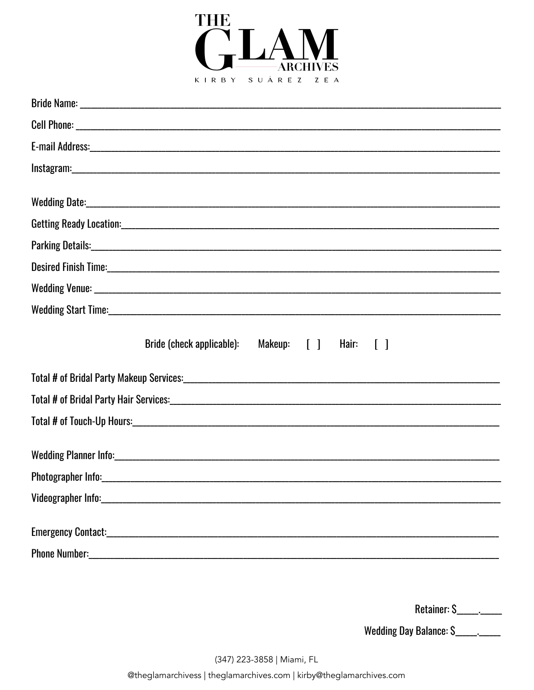

| Bride (check applicable):<br>Makeup: [ ]<br>Hair: $\lceil \; \rceil$ |
|----------------------------------------------------------------------|
|                                                                      |
|                                                                      |
|                                                                      |
|                                                                      |
|                                                                      |
|                                                                      |
|                                                                      |
|                                                                      |

| Retainer: |  |
|-----------|--|
|-----------|--|

Wedding Day Balance: \$\_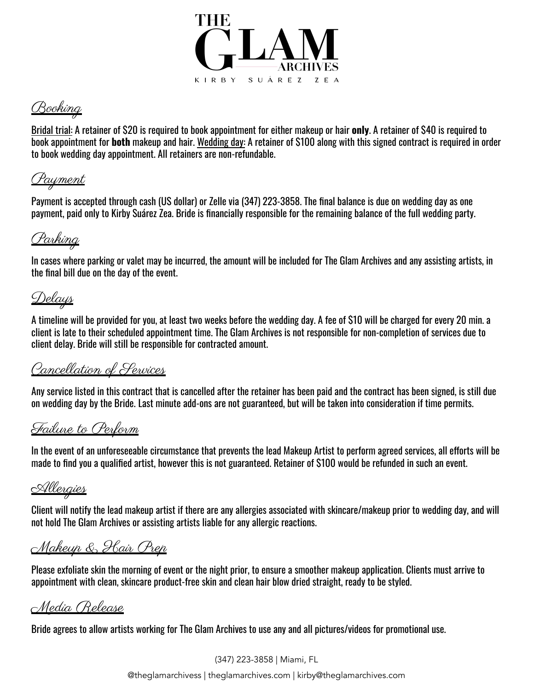

Booking

Bridal trial: A retainer of \$20 is required to book appointment for either makeup or hair **only**. A retainer of \$40 is required to book appointment for **both** makeup and hair. Wedding day: A retainer of \$100 along with this signed contract is required in order to book wedding day appointment. All retainers are non-refundable.

#### <u> Payment</u>

Payment is accepted through cash (US dollar) or Zelle via (347) 223-3858. The final balance is due on wedding day as one payment, paid only to Kirby Suárez Zea. Bride is financially responsible for the remaining balance of the full wedding party.

### Parking

In cases where parking or valet may be incurred, the amount will be included for The Glam Archives and any assisting artists, in the final bill due on the day of the event.

# <u>Delays</u>

A timeline will be provided for you, at least two weeks before the wedding day. A fee of \$10 will be charged for every 20 min. a client is late to their scheduled appointment time. The Glam Archives is not responsible for non-completion of services due to client delay. Bride will still be responsible for contracted amount.

### Cancellation of Services

Any service listed in this contract that is cancelled after the retainer has been paid and the contract has been signed, is still due on wedding day by the Bride. Last minute add-ons are not guaranteed, but will be taken into consideration if time permits.

#### Failure to Perform

In the event of an unforeseeable circumstance that prevents the lead Makeup Artist to perform agreed services, all efforts will be made to find you a qualified artist, however this is not guaranteed. Retainer of \$100 would be refunded in such an event.

#### <u>Allergies</u>

Client will notify the lead makeup artist if there are any allergies associated with skincare/makeup prior to wedding day, and will not hold The Glam Archives or assisting artists liable for any allergic reactions.

### Makeup & Hair Prep

Please exfoliate skin the morning of event or the night prior, to ensure a smoother makeup application. Clients must arrive to appointment with clean, skincare product-free skin and clean hair blow dried straight, ready to be styled.

Media Release

Bride agrees to allow artists working for The Glam Archives to use any and all pictures/videos for promotional use.

(347) 223-3858 | Miami, FL

@theglamarchivess | theglamarchives.com | kirby@theglamarchives.com